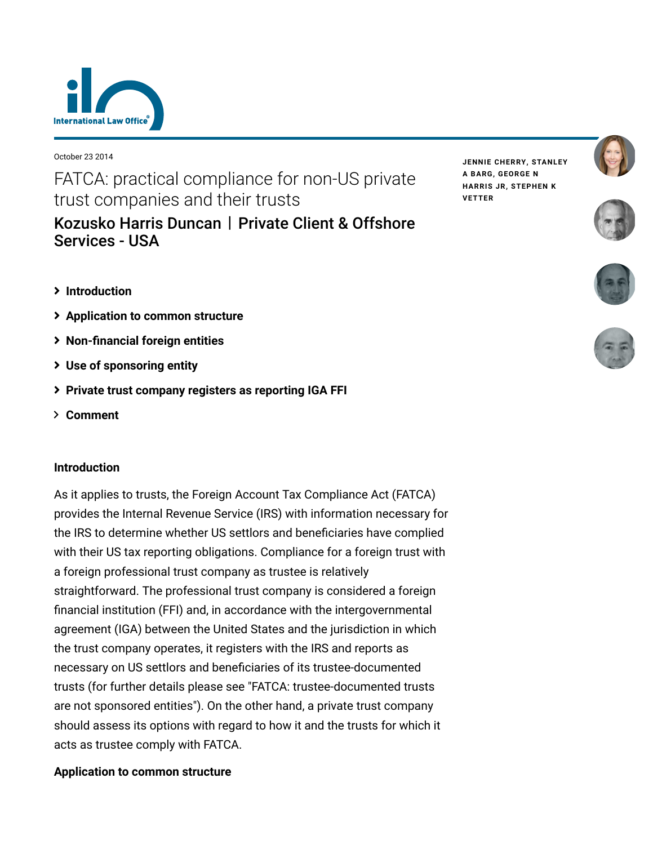

October 23 2014

FATCA: practical compliance for non-US private trust companies and their trusts

[Kozusko Harris Duncan](https://www.lexology.com/contributors/23364) | Private Client & Offshore Services - USA

- **[Introduction](#page-0-0)**
- **[Application to common structure](#page-0-1)**
- **[Non-financial foreign entities](#page-1-0)**
- **[Use of sponsoring entity](#page-2-0)**
- **[Private trust company registers as reporting IGA FFI](#page-4-0)**
- **[Comment](#page-4-1)**

## <span id="page-0-0"></span>**Introduction**

As it applies to trusts, the Foreign Account Tax Compliance Act (FATCA) provides the Internal Revenue Service (IRS) with information necessary for the IRS to determine whether US settlors and beneficiaries have complied with their US tax reporting obligations. Compliance for a foreign trust with a foreign professional trust company as trustee is relatively straightforward. The professional trust company is considered a foreign financial institution (FFI) and, in accordance with the intergovernmental agreement (IGA) between the United States and the jurisdiction in which the trust company operates, it registers with the IRS and reports as necessary on US settlors and beneficiaries of its trustee-documented [trusts \(for further details please see "FATCA: trustee-documented trusts](http://www.internationallawoffice.com/newsletters/Detail.aspx?g=c53ac75c-016f-4f15-a9c4-ac99a207d615) are not sponsored entities"). On the other hand, a private trust company should assess its options with regard to how it and the trusts for which it acts as trustee comply with FATCA.

# <span id="page-0-1"></span>**Application to common structure**

**JENNIE [CHERRY,](https://www.lexology.com/23364/author/Jennie_Cherry/) [STANLEY](https://www.lexology.com/23364/author/Stanley_A_Barg/) A BARG, [GEORGE](https://www.lexology.com/23364/author/George_N_Harris_Jr/) N HARRIS JR, [STEPHEN](https://www.lexology.com/23364/author/Stephen_K_Vetter/) K VETTER**







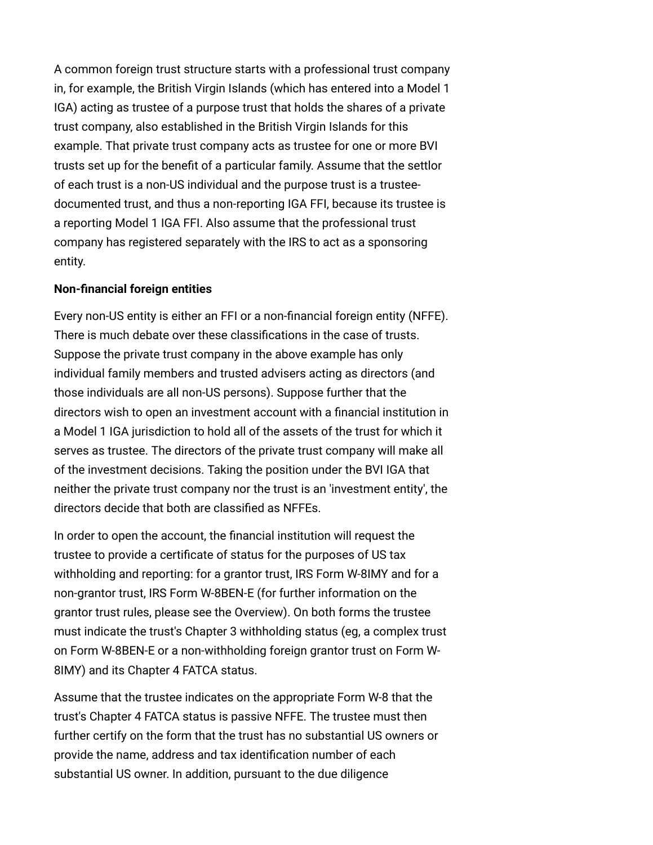A common foreign trust structure starts with a professional trust company in, for example, the British Virgin Islands (which has entered into a Model 1 IGA) acting as trustee of a purpose trust that holds the shares of a private trust company, also established in the British Virgin Islands for this example. That private trust company acts as trustee for one or more BVI trusts set up for the benefit of a particular family. Assume that the settlor of each trust is a non-US individual and the purpose trust is a trusteedocumented trust, and thus a non-reporting IGA FFI, because its trustee is a reporting Model 1 IGA FFI. Also assume that the professional trust company has registered separately with the IRS to act as a sponsoring entity.

#### <span id="page-1-0"></span>**Non-financial foreign entities**

Every non-US entity is either an FFI or a non-financial foreign entity (NFFE). There is much debate over these classifications in the case of trusts. Suppose the private trust company in the above example has only individual family members and trusted advisers acting as directors (and those individuals are all non-US persons). Suppose further that the directors wish to open an investment account with a financial institution in a Model 1 IGA jurisdiction to hold all of the assets of the trust for which it serves as trustee. The directors of the private trust company will make all of the investment decisions. Taking the position under the BVI IGA that neither the private trust company nor the trust is an 'investment entity', the directors decide that both are classified as NFFEs.

In order to open the account, the financial institution will request the trustee to provide a certificate of status for the purposes of US tax withholding and reporting: for a grantor trust, IRS Form W-8IMY and for a non-grantor trust, IRS Form W-8BEN-E (for further information on the grantor trust rules, please see the [Overview](http://www.internationallawoffice.com/newsletters/Detail.aspx?g=3e3065f9-d326-4948-bf41-fefba0d936b9)). On both forms the trustee must indicate the trust's Chapter 3 withholding status (eg, a complex trust on Form W-8BEN-E or a non-withholding foreign grantor trust on Form W-8IMY) and its Chapter 4 FATCA status.

Assume that the trustee indicates on the appropriate Form W-8 that the trust's Chapter 4 FATCA status is passive NFFE. The trustee must then further certify on the form that the trust has no substantial US owners or provide the name, address and tax identification number of each substantial US owner. In addition, pursuant to the due diligence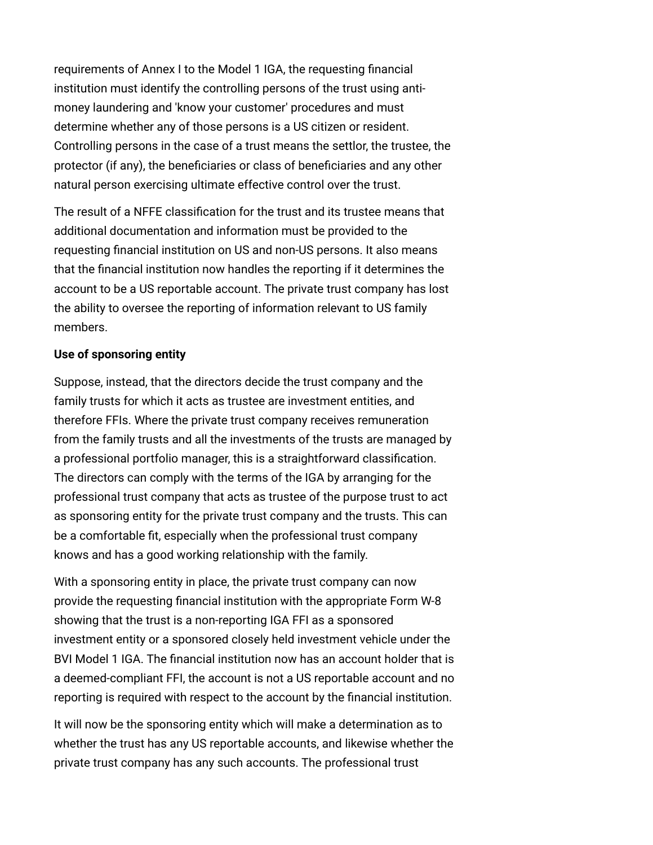requirements of Annex I to the Model 1 IGA, the requesting financial institution must identify the controlling persons of the trust using antimoney laundering and 'know your customer' procedures and must determine whether any of those persons is a US citizen or resident. Controlling persons in the case of a trust means the settlor, the trustee, the protector (if any), the beneficiaries or class of beneficiaries and any other natural person exercising ultimate effective control over the trust.

The result of a NFFE classification for the trust and its trustee means that additional documentation and information must be provided to the requesting financial institution on US and non-US persons. It also means that the financial institution now handles the reporting if it determines the account to be a US reportable account. The private trust company has lost the ability to oversee the reporting of information relevant to US family members.

### <span id="page-2-0"></span>**Use of sponsoring entity**

Suppose, instead, that the directors decide the trust company and the family trusts for which it acts as trustee are investment entities, and therefore FFIs. Where the private trust company receives remuneration from the family trusts and all the investments of the trusts are managed by a professional portfolio manager, this is a straightforward classification. The directors can comply with the terms of the IGA by arranging for the professional trust company that acts as trustee of the purpose trust to act as sponsoring entity for the private trust company and the trusts. This can be a comfortable fit, especially when the professional trust company knows and has a good working relationship with the family.

With a sponsoring entity in place, the private trust company can now provide the requesting financial institution with the appropriate Form W-8 showing that the trust is a non-reporting IGA FFI as a sponsored investment entity or a sponsored closely held investment vehicle under the BVI Model 1 IGA. The financial institution now has an account holder that is a deemed-compliant FFI, the account is not a US reportable account and no reporting is required with respect to the account by the financial institution.

It will now be the sponsoring entity which will make a determination as to whether the trust has any US reportable accounts, and likewise whether the private trust company has any such accounts. The professional trust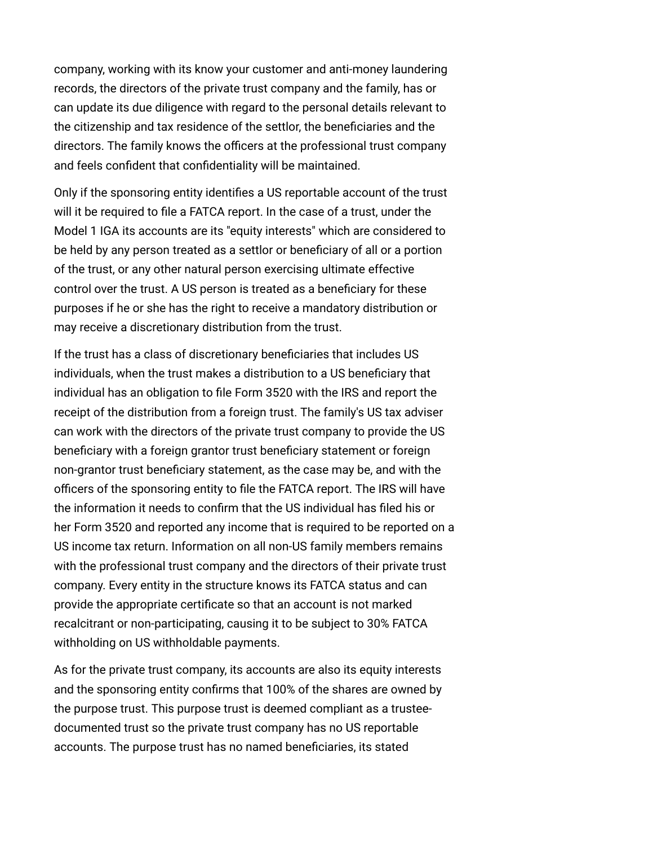company, working with its know your customer and anti-money laundering records, the directors of the private trust company and the family, has or can update its due diligence with regard to the personal details relevant to the citizenship and tax residence of the settlor, the beneficiaries and the directors. The family knows the officers at the professional trust company and feels confident that confidentiality will be maintained.

Only if the sponsoring entity identifies a US reportable account of the trust will it be required to file a FATCA report. In the case of a trust, under the Model 1 IGA its accounts are its "equity interests" which are considered to be held by any person treated as a settlor or beneficiary of all or a portion of the trust, or any other natural person exercising ultimate effective control over the trust. A US person is treated as a beneficiary for these purposes if he or she has the right to receive a mandatory distribution or may receive a discretionary distribution from the trust.

If the trust has a class of discretionary beneficiaries that includes US individuals, when the trust makes a distribution to a US beneficiary that individual has an obligation to file Form 3520 with the IRS and report the receipt of the distribution from a foreign trust. The family's US tax adviser can work with the directors of the private trust company to provide the US beneficiary with a foreign grantor trust beneficiary statement or foreign non-grantor trust beneficiary statement, as the case may be, and with the officers of the sponsoring entity to file the FATCA report. The IRS will have the information it needs to confirm that the US individual has filed his or her Form 3520 and reported any income that is required to be reported on a US income tax return. Information on all non-US family members remains with the professional trust company and the directors of their private trust company. Every entity in the structure knows its FATCA status and can provide the appropriate certificate so that an account is not marked recalcitrant or non-participating, causing it to be subject to 30% FATCA withholding on US withholdable payments.

As for the private trust company, its accounts are also its equity interests and the sponsoring entity confirms that 100% of the shares are owned by the purpose trust. This purpose trust is deemed compliant as a trusteedocumented trust so the private trust company has no US reportable accounts. The purpose trust has no named beneficiaries, its stated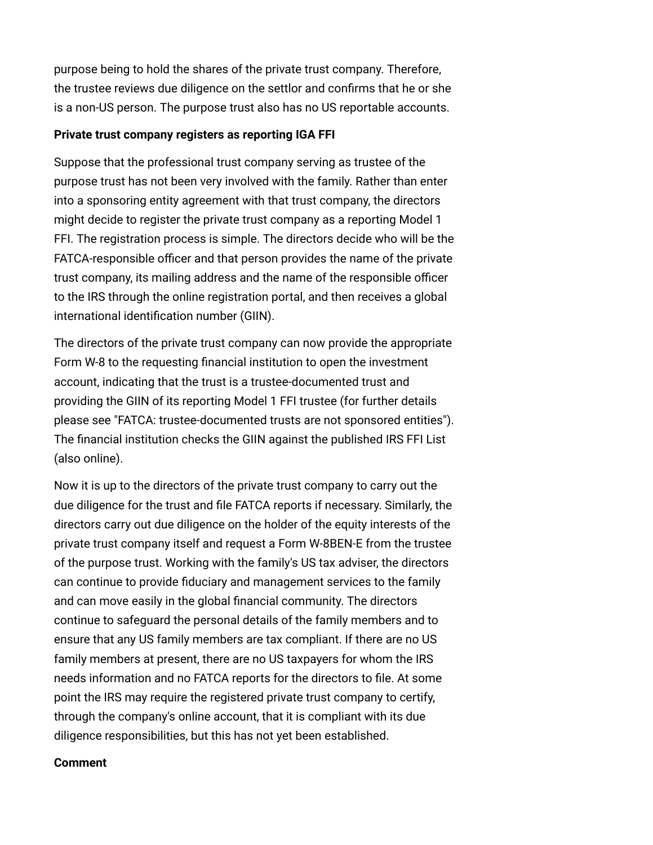purpose being to hold the shares of the private trust company. Therefore, the trustee reviews due diligence on the settlor and confirms that he or she is a non-US person. The purpose trust also has no US reportable accounts.

### <span id="page-4-0"></span>**Private trust company registers as reporting IGA FFI**

Suppose that the professional trust company serving as trustee of the purpose trust has not been very involved with the family. Rather than enter into a sponsoring entity agreement with that trust company, the directors might decide to register the private trust company as a reporting Model 1 FFI. The registration process is simple. The directors decide who will be the FATCA-responsible officer and that person provides the name of the private trust company, its mailing address and the name of the responsible officer to the IRS through the online registration portal, and then receives a global international identification number (GIIN).

The directors of the private trust company can now provide the appropriate Form W-8 to the requesting financial institution to open the investment account, indicating that the trust is a trustee-documented trust and providing the GIIN of its reporting Model 1 FFI trustee (for further details please see ["FATCA: trustee-documented trusts are not sponsored entities](http://www.internationallawoffice.com/newsletters/Detail.aspx?g=c53ac75c-016f-4f15-a9c4-ac99a207d615)"). The financial institution checks the GIIN against the published IRS FFI List (also online).

Now it is up to the directors of the private trust company to carry out the due diligence for the trust and file FATCA reports if necessary. Similarly, the directors carry out due diligence on the holder of the equity interests of the private trust company itself and request a Form W-8BEN-E from the trustee of the purpose trust. Working with the family's US tax adviser, the directors can continue to provide fiduciary and management services to the family and can move easily in the global financial community. The directors continue to safeguard the personal details of the family members and to ensure that any US family members are tax compliant. If there are no US family members at present, there are no US taxpayers for whom the IRS needs information and no FATCA reports for the directors to file. At some point the IRS may require the registered private trust company to certify, through the company's online account, that it is compliant with its due diligence responsibilities, but this has not yet been established.

#### <span id="page-4-1"></span>**Comment**